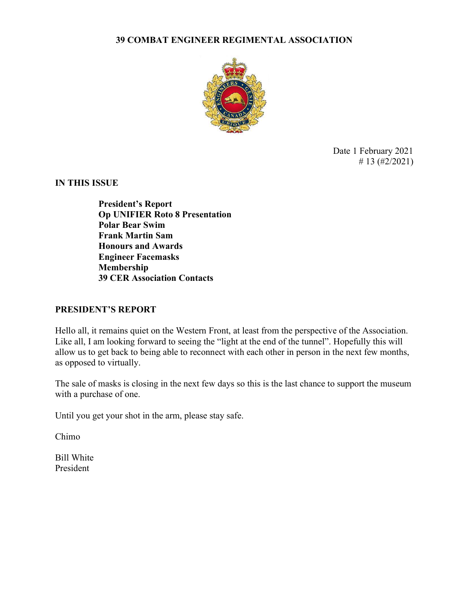#### 39 COMBAT ENGINEER REGIMENTAL ASSOCIATION



Date 1 February 2021 # 13  $(\frac{\#2}{2021})$ 

IN THIS ISSUE

President's Report Op UNIFIER Roto 8 Presentation Polar Bear Swim Frank Martin Sam Honours and Awards Engineer Facemasks Membership 39 CER Association Contacts

#### PRESIDENT'S REPORT

Hello all, it remains quiet on the Western Front, at least from the perspective of the Association. Like all, I am looking forward to seeing the "light at the end of the tunnel". Hopefully this will allow us to get back to being able to reconnect with each other in person in the next few months, as opposed to virtually.

The sale of masks is closing in the next few days so this is the last chance to support the museum with a purchase of one.

Until you get your shot in the arm, please stay safe.

Chimo

Bill White President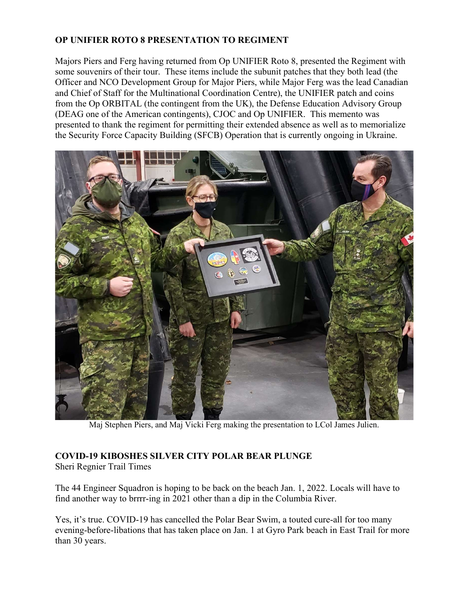# OP UNIFIER ROTO 8 PRESENTATION TO REGIMENT

Majors Piers and Ferg having returned from Op UNIFIER Roto 8, presented the Regiment with some souvenirs of their tour. These items include the subunit patches that they both lead (the Officer and NCO Development Group for Major Piers, while Major Ferg was the lead Canadian and Chief of Staff for the Multinational Coordination Centre), the UNIFIER patch and coins from the Op ORBITAL (the contingent from the UK), the Defense Education Advisory Group (DEAG one of the American contingents), CJOC and Op UNIFIER. This memento was presented to thank the regiment for permitting their extended absence as well as to memorialize the Security Force Capacity Building (SFCB) Operation that is currently ongoing in Ukraine.



Maj Stephen Piers, and Maj Vicki Ferg making the presentation to LCol James Julien.

## COVID-19 KIBOSHES SILVER CITY POLAR BEAR PLUNGE

Sheri Regnier Trail Times

The 44 Engineer Squadron is hoping to be back on the beach Jan. 1, 2022. Locals will have to find another way to brrrr-ing in 2021 other than a dip in the Columbia River.

Yes, it's true. COVID-19 has cancelled the Polar Bear Swim, a touted cure-all for too many evening-before-libations that has taken place on Jan. 1 at Gyro Park beach in East Trail for more than 30 years.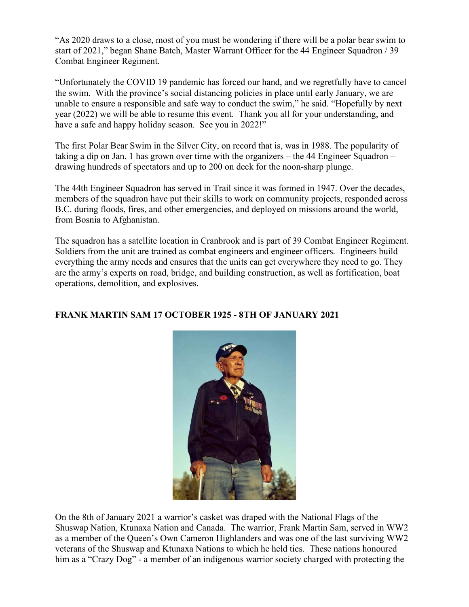"As 2020 draws to a close, most of you must be wondering if there will be a polar bear swim to start of 2021," began Shane Batch, Master Warrant Officer for the 44 Engineer Squadron / 39 Combat Engineer Regiment.

"Unfortunately the COVID 19 pandemic has forced our hand, and we regretfully have to cancel the swim. With the province's social distancing policies in place until early January, we are unable to ensure a responsible and safe way to conduct the swim," he said. "Hopefully by next year (2022) we will be able to resume this event. Thank you all for your understanding, and have a safe and happy holiday season. See you in 2022!"

The first Polar Bear Swim in the Silver City, on record that is, was in 1988. The popularity of taking a dip on Jan. 1 has grown over time with the organizers – the 44 Engineer Squadron – drawing hundreds of spectators and up to 200 on deck for the noon-sharp plunge.

The 44th Engineer Squadron has served in Trail since it was formed in 1947. Over the decades, members of the squadron have put their skills to work on community projects, responded across B.C. during floods, fires, and other emergencies, and deployed on missions around the world, from Bosnia to Afghanistan.

The squadron has a satellite location in Cranbrook and is part of 39 Combat Engineer Regiment. Soldiers from the unit are trained as combat engineers and engineer officers. Engineers build everything the army needs and ensures that the units can get everywhere they need to go. They are the army's experts on road, bridge, and building construction, as well as fortification, boat operations, demolition, and explosives.

## FRANK MARTIN SAM 17 OCTOBER 1925 - 8TH OF JANUARY 2021



On the 8th of January 2021 a warrior's casket was draped with the National Flags of the Shuswap Nation, Ktunaxa Nation and Canada. The warrior, Frank Martin Sam, served in WW2 as a member of the Queen's Own Cameron Highlanders and was one of the last surviving WW2 veterans of the Shuswap and Ktunaxa Nations to which he held ties. These nations honoured him as a "Crazy Dog" - a member of an indigenous warrior society charged with protecting the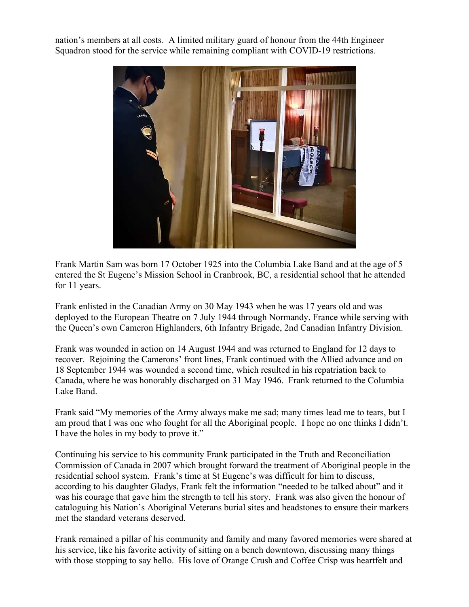nation's members at all costs. A limited military guard of honour from the 44th Engineer Squadron stood for the service while remaining compliant with COVID-19 restrictions.



Frank Martin Sam was born 17 October 1925 into the Columbia Lake Band and at the age of 5 entered the St Eugene's Mission School in Cranbrook, BC, a residential school that he attended for 11 years.

Frank enlisted in the Canadian Army on 30 May 1943 when he was 17 years old and was deployed to the European Theatre on 7 July 1944 through Normandy, France while serving with the Queen's own Cameron Highlanders, 6th Infantry Brigade, 2nd Canadian Infantry Division.

Frank was wounded in action on 14 August 1944 and was returned to England for 12 days to recover. Rejoining the Camerons' front lines, Frank continued with the Allied advance and on 18 September 1944 was wounded a second time, which resulted in his repatriation back to Canada, where he was honorably discharged on 31 May 1946. Frank returned to the Columbia Lake Band.

Frank said "My memories of the Army always make me sad; many times lead me to tears, but I am proud that I was one who fought for all the Aboriginal people. I hope no one thinks I didn't. I have the holes in my body to prove it."

Continuing his service to his community Frank participated in the Truth and Reconciliation Commission of Canada in 2007 which brought forward the treatment of Aboriginal people in the residential school system. Frank's time at St Eugene's was difficult for him to discuss, according to his daughter Gladys, Frank felt the information "needed to be talked about" and it was his courage that gave him the strength to tell his story. Frank was also given the honour of cataloguing his Nation's Aboriginal Veterans burial sites and headstones to ensure their markers met the standard veterans deserved.

Frank remained a pillar of his community and family and many favored memories were shared at his service, like his favorite activity of sitting on a bench downtown, discussing many things with those stopping to say hello. His love of Orange Crush and Coffee Crisp was heartfelt and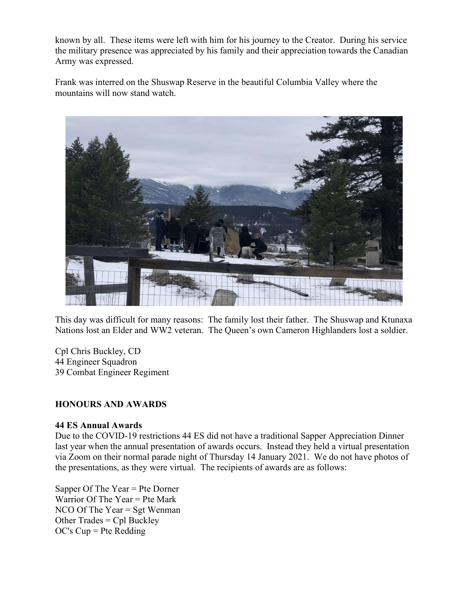known by all. These items were left with him for his journey to the Creator. During his service the military presence was appreciated by his family and their appreciation towards the Canadian Army was expressed.

Frank was interred on the Shuswap Reserve in the beautiful Columbia Valley where the mountains will now stand watch.



This day was difficult for many reasons: The family lost their father. The Shuswap and Ktunaxa Nations lost an Elder and WW2 veteran. The Queen's own Cameron Highlanders lost a soldier.

Cpl Chris Buckley, CD 44 Engineer Squadron 39 Combat Engineer Regiment

#### HONOURS AND AWARDS

#### 44 ES Annual Awards

Due to the COVID-19 restrictions 44 ES did not have a traditional Sapper Appreciation Dinner last year when the annual presentation of awards occurs. Instead they held a virtual presentation via Zoom on their normal parade night of Thursday 14 January 2021. We do not have photos of the presentations, as they were virtual. The recipients of awards are as follows:

Sapper Of The Year = Pte Dorner Warrior Of The Year = Pte Mark NCO Of The Year = Sgt Wenman Other Trades = Cpl Buckley OC's Cup = Pte Redding